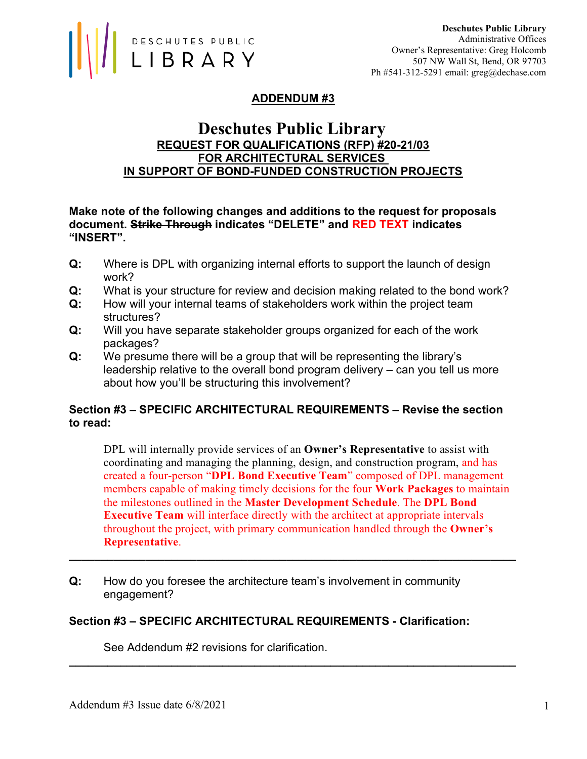

# ADDENDUM #3

# Deschutes Public Library REQUEST FOR QUALIFICATIONS (RFP) #20-21/03 FOR ARCHITECTURAL SERVICES IN SUPPORT OF BOND-FUNDED CONSTRUCTION PROJECTS

## Make note of the following changes and additions to the request for proposals document. Strike Through indicates "DELETE" and RED TEXT indicates "INSERT".

- Q: Where is DPL with organizing internal efforts to support the launch of design work?
- Q: What is your structure for review and decision making related to the bond work?
- Q: How will your internal teams of stakeholders work within the project team structures?
- Q: Will you have separate stakeholder groups organized for each of the work packages?
- Q: We presume there will be a group that will be representing the library's leadership relative to the overall bond program delivery – can you tell us more about how you'll be structuring this involvement?

# Section #3 – SPECIFIC ARCHITECTURAL REQUIREMENTS – Revise the section to read:

DPL will internally provide services of an **Owner's Representative** to assist with coordinating and managing the planning, design, and construction program, and has created a four-person "DPL Bond Executive Team" composed of DPL management members capable of making timely decisions for the four **Work Packages** to maintain the milestones outlined in the Master Development Schedule. The DPL Bond Executive Team will interface directly with the architect at appropriate intervals throughout the project, with primary communication handled through the Owner's Representative.

\_\_\_\_\_\_\_\_\_\_\_\_\_\_\_\_\_\_\_\_\_\_\_\_\_\_\_\_\_\_\_\_\_\_\_\_\_\_\_\_\_\_\_\_\_\_\_\_\_\_\_\_\_\_\_\_\_\_\_\_\_\_\_\_\_\_\_\_\_\_

\_\_\_\_\_\_\_\_\_\_\_\_\_\_\_\_\_\_\_\_\_\_\_\_\_\_\_\_\_\_\_\_\_\_\_\_\_\_\_\_\_\_\_\_\_\_\_\_\_\_\_\_\_\_\_\_\_\_\_\_\_\_\_\_\_\_\_\_\_\_

Q: How do you foresee the architecture team's involvement in community engagement?

## Section #3 – SPECIFIC ARCHITECTURAL REQUIREMENTS - Clarification:

See Addendum #2 revisions for clarification.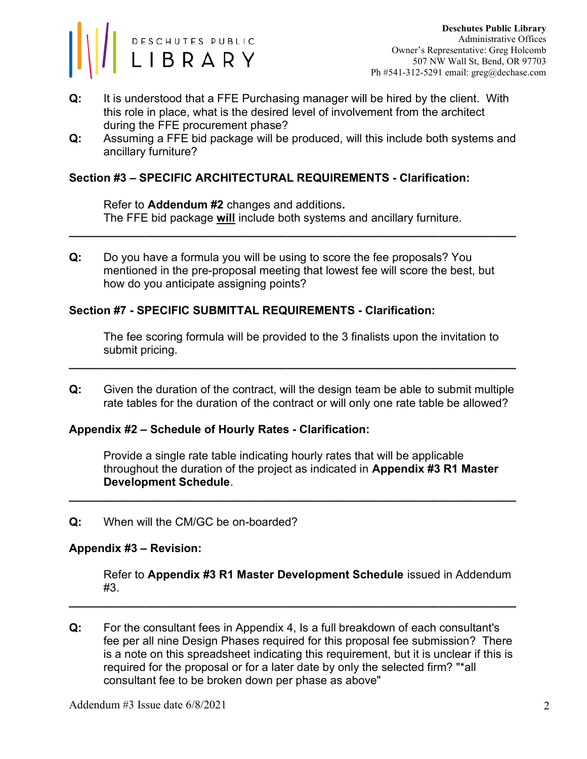

- Q: It is understood that a FFE Purchasing manager will be hired by the client. With this role in place, what is the desired level of involvement from the architect during the FFE procurement phase?
- Q: Assuming a FFE bid package will be produced, will this include both systems and ancillary furniture?

## Section #3 – SPECIFIC ARCHITECTURAL REQUIREMENTS - Clarification:

Refer to Addendum #2 changes and additions. The FFE bid package will include both systems and ancillary furniture.

\_\_\_\_\_\_\_\_\_\_\_\_\_\_\_\_\_\_\_\_\_\_\_\_\_\_\_\_\_\_\_\_\_\_\_\_\_\_\_\_\_\_\_\_\_\_\_\_\_\_\_\_\_\_\_\_\_\_\_\_\_\_\_\_\_\_\_\_\_\_

Q: Do you have a formula you will be using to score the fee proposals? You mentioned in the pre-proposal meeting that lowest fee will score the best, but how do you anticipate assigning points?

## Section #7 - SPECIFIC SUBMITTAL REQUIREMENTS - Clarification:

The fee scoring formula will be provided to the 3 finalists upon the invitation to submit pricing.

Q: Given the duration of the contract, will the design team be able to submit multiple rate tables for the duration of the contract or will only one rate table be allowed?

\_\_\_\_\_\_\_\_\_\_\_\_\_\_\_\_\_\_\_\_\_\_\_\_\_\_\_\_\_\_\_\_\_\_\_\_\_\_\_\_\_\_\_\_\_\_\_\_\_\_\_\_\_\_\_\_\_\_\_\_\_\_\_\_\_\_\_\_\_\_

### Appendix #2 – Schedule of Hourly Rates - Clarification:

Provide a single rate table indicating hourly rates that will be applicable throughout the duration of the project as indicated in Appendix #3 R1 Master Development Schedule.

\_\_\_\_\_\_\_\_\_\_\_\_\_\_\_\_\_\_\_\_\_\_\_\_\_\_\_\_\_\_\_\_\_\_\_\_\_\_\_\_\_\_\_\_\_\_\_\_\_\_\_\_\_\_\_\_\_\_\_\_\_\_\_\_\_\_\_\_\_\_

Q: When will the CM/GC be on-boarded?

### Appendix #3 – Revision:

Refer to Appendix #3 R1 Master Development Schedule issued in Addendum #3.

Q: For the consultant fees in Appendix 4, Is a full breakdown of each consultant's fee per all nine Design Phases required for this proposal fee submission? There is a note on this spreadsheet indicating this requirement, but it is unclear if this is required for the proposal or for a later date by only the selected firm? "\*all consultant fee to be broken down per phase as above"

\_\_\_\_\_\_\_\_\_\_\_\_\_\_\_\_\_\_\_\_\_\_\_\_\_\_\_\_\_\_\_\_\_\_\_\_\_\_\_\_\_\_\_\_\_\_\_\_\_\_\_\_\_\_\_\_\_\_\_\_\_\_\_\_\_\_\_\_\_\_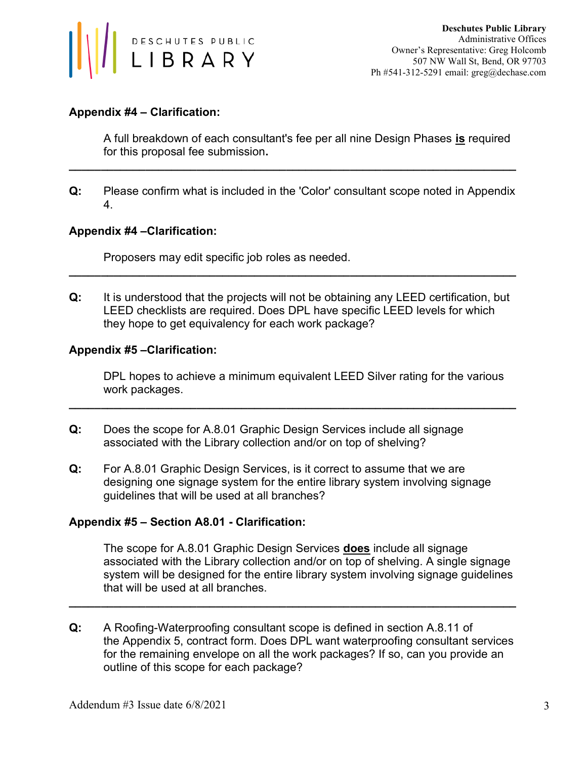

## Appendix #4 – Clarification:

A full breakdown of each consultant's fee per all nine Design Phases is required for this proposal fee submission.

Q: Please confirm what is included in the 'Color' consultant scope noted in Appendix 4.

\_\_\_\_\_\_\_\_\_\_\_\_\_\_\_\_\_\_\_\_\_\_\_\_\_\_\_\_\_\_\_\_\_\_\_\_\_\_\_\_\_\_\_\_\_\_\_\_\_\_\_\_\_\_\_\_\_\_\_\_\_\_\_\_\_\_\_\_\_\_

## Appendix #4 –Clarification:

Proposers may edit specific job roles as needed.

Q: It is understood that the projects will not be obtaining any LEED certification, but LEED checklists are required. Does DPL have specific LEED levels for which they hope to get equivalency for each work package?

\_\_\_\_\_\_\_\_\_\_\_\_\_\_\_\_\_\_\_\_\_\_\_\_\_\_\_\_\_\_\_\_\_\_\_\_\_\_\_\_\_\_\_\_\_\_\_\_\_\_\_\_\_\_\_\_\_\_\_\_\_\_\_\_\_\_\_\_\_\_

### Appendix #5 –Clarification:

DPL hopes to achieve a minimum equivalent LEED Silver rating for the various work packages.

\_\_\_\_\_\_\_\_\_\_\_\_\_\_\_\_\_\_\_\_\_\_\_\_\_\_\_\_\_\_\_\_\_\_\_\_\_\_\_\_\_\_\_\_\_\_\_\_\_\_\_\_\_\_\_\_\_\_\_\_\_\_\_\_\_\_\_\_\_\_

- Q: Does the scope for A.8.01 Graphic Design Services include all signage associated with the Library collection and/or on top of shelving?
- Q: For A.8.01 Graphic Design Services, is it correct to assume that we are designing one signage system for the entire library system involving signage guidelines that will be used at all branches?

### Appendix #5 – Section A8.01 - Clarification:

The scope for A.8.01 Graphic Design Services **does** include all signage associated with the Library collection and/or on top of shelving. A single signage system will be designed for the entire library system involving signage guidelines that will be used at all branches.

Q: A Roofing-Waterproofing consultant scope is defined in section A.8.11 of the Appendix 5, contract form. Does DPL want waterproofing consultant services for the remaining envelope on all the work packages? If so, can you provide an outline of this scope for each package?

\_\_\_\_\_\_\_\_\_\_\_\_\_\_\_\_\_\_\_\_\_\_\_\_\_\_\_\_\_\_\_\_\_\_\_\_\_\_\_\_\_\_\_\_\_\_\_\_\_\_\_\_\_\_\_\_\_\_\_\_\_\_\_\_\_\_\_\_\_\_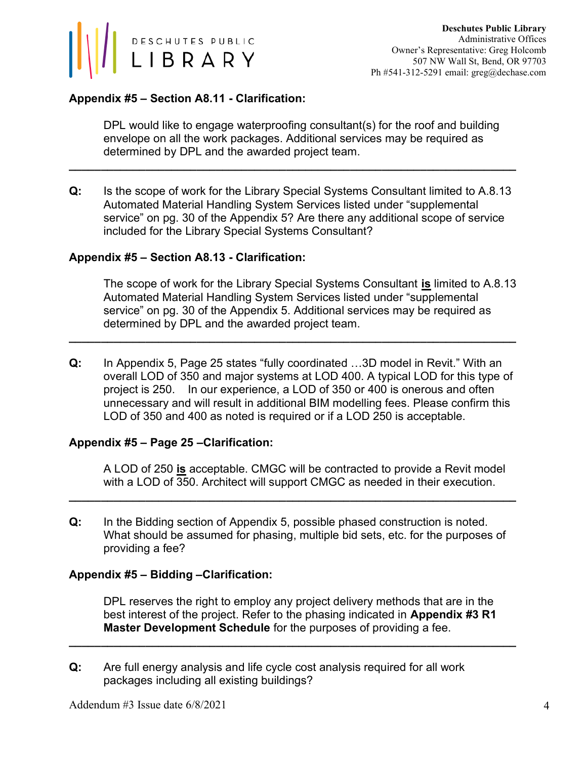

# Appendix #5 – Section A8.11 - Clarification:

 DPL would like to engage waterproofing consultant(s) for the roof and building envelope on all the work packages. Additional services may be required as determined by DPL and the awarded project team.

Q: Is the scope of work for the Library Special Systems Consultant limited to A.8.13 Automated Material Handling System Services listed under "supplemental service" on pg. 30 of the Appendix 5? Are there any additional scope of service included for the Library Special Systems Consultant?

\_\_\_\_\_\_\_\_\_\_\_\_\_\_\_\_\_\_\_\_\_\_\_\_\_\_\_\_\_\_\_\_\_\_\_\_\_\_\_\_\_\_\_\_\_\_\_\_\_\_\_\_\_\_\_\_\_\_\_\_\_\_\_\_\_\_\_\_\_\_

## Appendix #5 – Section A8.13 - Clarification:

The scope of work for the Library Special Systems Consultant is limited to A.8.13 Automated Material Handling System Services listed under "supplemental service" on pg. 30 of the Appendix 5. Additional services may be required as determined by DPL and the awarded project team.

Q: In Appendix 5, Page 25 states "fully coordinated …3D model in Revit." With an overall LOD of 350 and major systems at LOD 400. A typical LOD for this type of project is 250. In our experience, a LOD of 350 or 400 is onerous and often unnecessary and will result in additional BIM modelling fees. Please confirm this LOD of 350 and 400 as noted is required or if a LOD 250 is acceptable.

\_\_\_\_\_\_\_\_\_\_\_\_\_\_\_\_\_\_\_\_\_\_\_\_\_\_\_\_\_\_\_\_\_\_\_\_\_\_\_\_\_\_\_\_\_\_\_\_\_\_\_\_\_\_\_\_\_\_\_\_\_\_\_\_\_\_\_\_\_\_

### Appendix #5 – Page 25 –Clarification:

A LOD of 250 is acceptable. CMGC will be contracted to provide a Revit model with a LOD of 350. Architect will support CMGC as needed in their execution.

Q: In the Bidding section of Appendix 5, possible phased construction is noted. What should be assumed for phasing, multiple bid sets, etc. for the purposes of providing a fee?

\_\_\_\_\_\_\_\_\_\_\_\_\_\_\_\_\_\_\_\_\_\_\_\_\_\_\_\_\_\_\_\_\_\_\_\_\_\_\_\_\_\_\_\_\_\_\_\_\_\_\_\_\_\_\_\_\_\_\_\_\_\_\_\_\_\_\_\_\_\_

### Appendix #5 – Bidding –Clarification:

DPL reserves the right to employ any project delivery methods that are in the best interest of the project. Refer to the phasing indicated in **Appendix #3 R1** Master Development Schedule for the purposes of providing a fee.

\_\_\_\_\_\_\_\_\_\_\_\_\_\_\_\_\_\_\_\_\_\_\_\_\_\_\_\_\_\_\_\_\_\_\_\_\_\_\_\_\_\_\_\_\_\_\_\_\_\_\_\_\_\_\_\_\_\_\_\_\_\_\_\_\_\_\_\_\_\_

Q: Are full energy analysis and life cycle cost analysis required for all work packages including all existing buildings?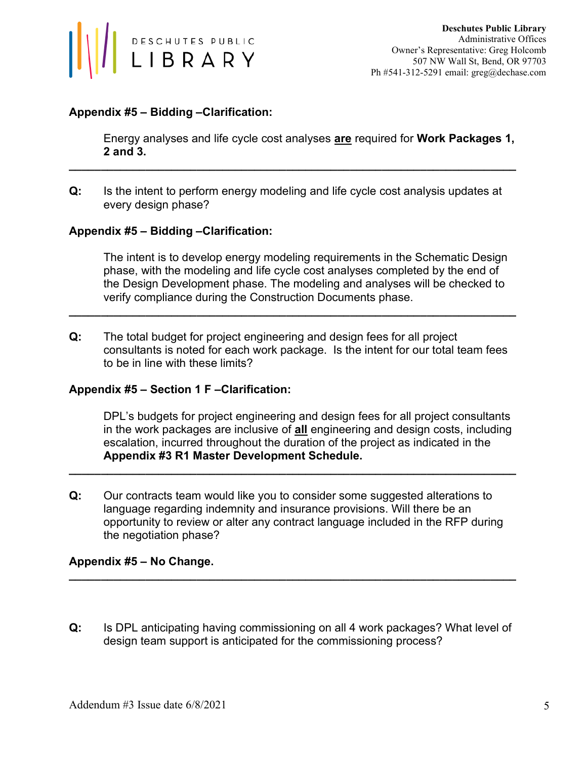

## Appendix #5 – Bidding –Clarification:

Energy analyses and life cycle cost analyses are required for Work Packages 1, 2 and 3.

Q: Is the intent to perform energy modeling and life cycle cost analysis updates at every design phase?

\_\_\_\_\_\_\_\_\_\_\_\_\_\_\_\_\_\_\_\_\_\_\_\_\_\_\_\_\_\_\_\_\_\_\_\_\_\_\_\_\_\_\_\_\_\_\_\_\_\_\_\_\_\_\_\_\_\_\_\_\_\_\_\_\_\_\_\_\_\_

## Appendix #5 – Bidding –Clarification:

The intent is to develop energy modeling requirements in the Schematic Design phase, with the modeling and life cycle cost analyses completed by the end of the Design Development phase. The modeling and analyses will be checked to verify compliance during the Construction Documents phase.

Q: The total budget for project engineering and design fees for all project consultants is noted for each work package. Is the intent for our total team fees to be in line with these limits?

\_\_\_\_\_\_\_\_\_\_\_\_\_\_\_\_\_\_\_\_\_\_\_\_\_\_\_\_\_\_\_\_\_\_\_\_\_\_\_\_\_\_\_\_\_\_\_\_\_\_\_\_\_\_\_\_\_\_\_\_\_\_\_\_\_\_\_\_\_\_

### Appendix #5 – Section 1 F –Clarification:

DPL's budgets for project engineering and design fees for all project consultants in the work packages are inclusive of all engineering and design costs, including escalation, incurred throughout the duration of the project as indicated in the Appendix #3 R1 Master Development Schedule.

Q: Our contracts team would like you to consider some suggested alterations to language regarding indemnity and insurance provisions. Will there be an opportunity to review or alter any contract language included in the RFP during the negotiation phase?

\_\_\_\_\_\_\_\_\_\_\_\_\_\_\_\_\_\_\_\_\_\_\_\_\_\_\_\_\_\_\_\_\_\_\_\_\_\_\_\_\_\_\_\_\_\_\_\_\_\_\_\_\_\_\_\_\_\_\_\_\_\_\_\_\_\_\_\_\_\_

### Appendix #5 – No Change.

Q: Is DPL anticipating having commissioning on all 4 work packages? What level of design team support is anticipated for the commissioning process?

\_\_\_\_\_\_\_\_\_\_\_\_\_\_\_\_\_\_\_\_\_\_\_\_\_\_\_\_\_\_\_\_\_\_\_\_\_\_\_\_\_\_\_\_\_\_\_\_\_\_\_\_\_\_\_\_\_\_\_\_\_\_\_\_\_\_\_\_\_\_